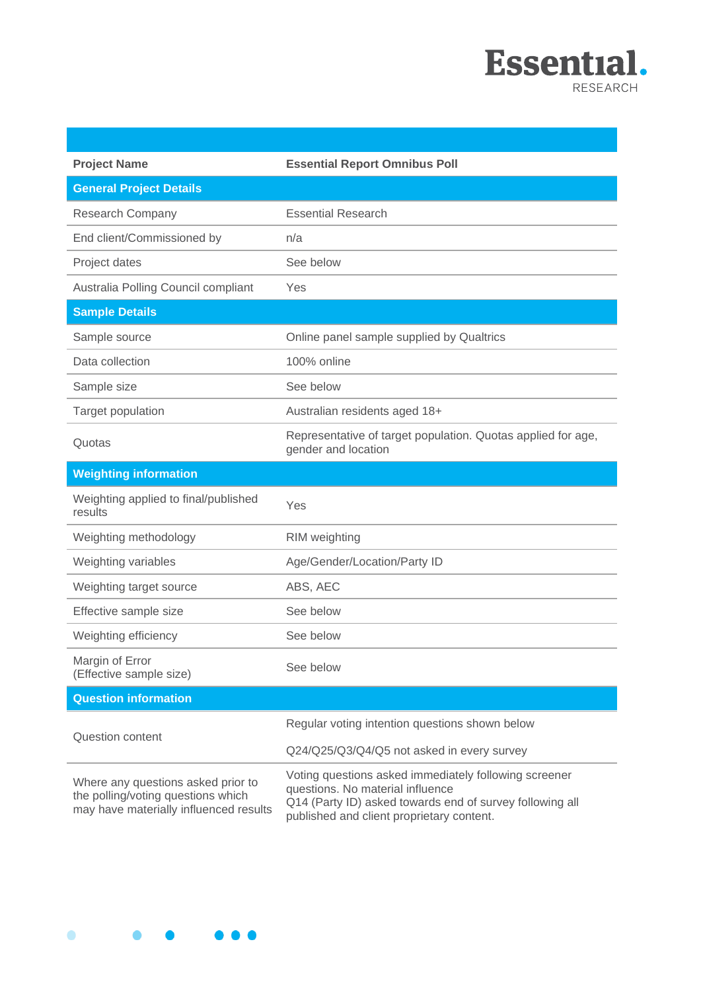

| <b>Project Name</b>                                                                                                | <b>Essential Report Omnibus Poll</b>                                                                                                                                                               |
|--------------------------------------------------------------------------------------------------------------------|----------------------------------------------------------------------------------------------------------------------------------------------------------------------------------------------------|
| <b>General Project Details</b>                                                                                     |                                                                                                                                                                                                    |
| <b>Research Company</b>                                                                                            | <b>Essential Research</b>                                                                                                                                                                          |
| End client/Commissioned by                                                                                         | n/a                                                                                                                                                                                                |
| Project dates                                                                                                      | See below                                                                                                                                                                                          |
| Australia Polling Council compliant                                                                                | Yes                                                                                                                                                                                                |
| <b>Sample Details</b>                                                                                              |                                                                                                                                                                                                    |
| Sample source                                                                                                      | Online panel sample supplied by Qualtrics                                                                                                                                                          |
| Data collection                                                                                                    | 100% online                                                                                                                                                                                        |
| Sample size                                                                                                        | See below                                                                                                                                                                                          |
| Target population                                                                                                  | Australian residents aged 18+                                                                                                                                                                      |
| Quotas                                                                                                             | Representative of target population. Quotas applied for age,<br>gender and location                                                                                                                |
| <b>Weighting information</b>                                                                                       |                                                                                                                                                                                                    |
| Weighting applied to final/published<br>results                                                                    | Yes                                                                                                                                                                                                |
| Weighting methodology                                                                                              | RIM weighting                                                                                                                                                                                      |
| Weighting variables                                                                                                | Age/Gender/Location/Party ID                                                                                                                                                                       |
| Weighting target source                                                                                            | ABS, AEC                                                                                                                                                                                           |
| Effective sample size                                                                                              | See below                                                                                                                                                                                          |
| Weighting efficiency                                                                                               | See below                                                                                                                                                                                          |
| Margin of Error<br>(Effective sample size)                                                                         | See below                                                                                                                                                                                          |
| <b>Question information</b>                                                                                        |                                                                                                                                                                                                    |
|                                                                                                                    | Regular voting intention questions shown below                                                                                                                                                     |
| <b>Question content</b>                                                                                            | Q24/Q25/Q3/Q4/Q5 not asked in every survey                                                                                                                                                         |
| Where any questions asked prior to<br>the polling/voting questions which<br>may have materially influenced results | Voting questions asked immediately following screener<br>questions. No material influence<br>Q14 (Party ID) asked towards end of survey following all<br>published and client proprietary content. |

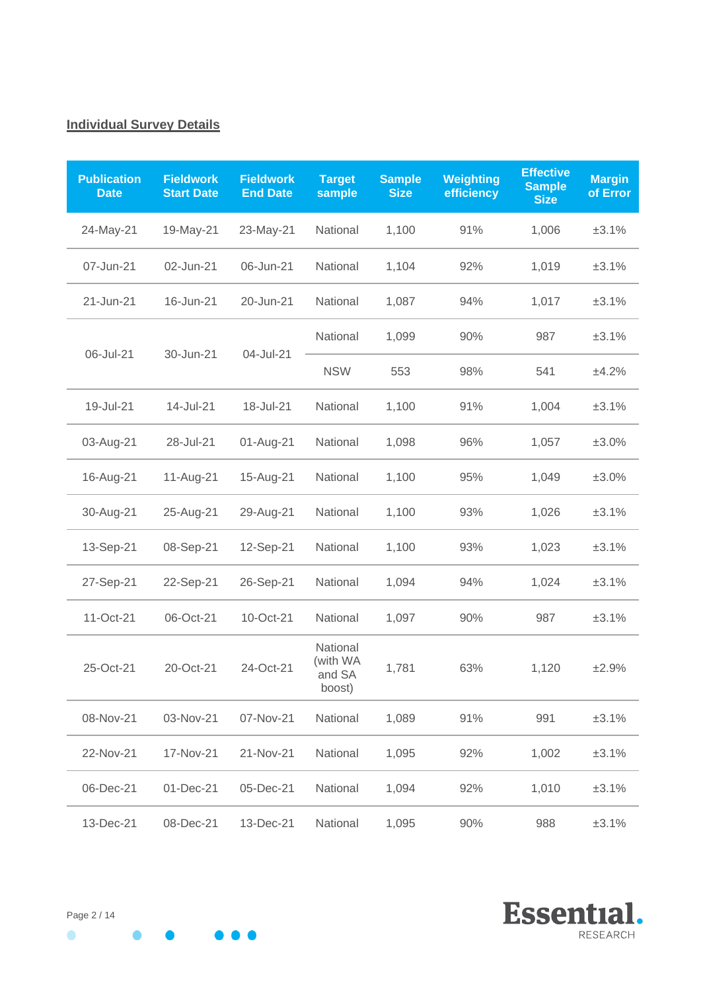# **Individual Survey Details**

| <b>Publication</b><br><b>Date</b> | <b>Fieldwork</b><br><b>Start Date</b> | <b>Fieldwork</b><br><b>End Date</b> | <b>Target</b><br>sample                  | <b>Sample</b><br><b>Size</b> | <b>Weighting</b><br>efficiency | <b>Effective</b><br><b>Sample</b><br><b>Size</b> | <b>Margin</b><br>of Error |
|-----------------------------------|---------------------------------------|-------------------------------------|------------------------------------------|------------------------------|--------------------------------|--------------------------------------------------|---------------------------|
| 24-May-21                         | 19-May-21                             | 23-May-21                           | National                                 | 1,100                        | 91%                            | 1,006                                            | ±3.1%                     |
| 07-Jun-21                         | 02-Jun-21                             | 06-Jun-21                           | National                                 | 1,104                        | 92%                            | 1,019                                            | ±3.1%                     |
| 21-Jun-21                         | 16-Jun-21                             | 20-Jun-21                           | National                                 | 1,087                        | 94%                            | 1,017                                            | ±3.1%                     |
| 06-Jul-21                         | 30-Jun-21                             | 04-Jul-21                           | National                                 | 1,099                        | 90%                            | 987                                              | ±3.1%                     |
|                                   |                                       |                                     | <b>NSW</b>                               | 553                          | 98%                            | 541                                              | ±4.2%                     |
| 19-Jul-21                         | 14-Jul-21                             | 18-Jul-21                           | National                                 | 1,100                        | 91%                            | 1,004                                            | ±3.1%                     |
| 03-Aug-21                         | 28-Jul-21                             | 01-Aug-21                           | National                                 | 1,098                        | 96%                            | 1,057                                            | ±3.0%                     |
| 16-Aug-21                         | 11-Aug-21                             | 15-Aug-21                           | National                                 | 1,100                        | 95%                            | 1,049                                            | ±3.0%                     |
| 30-Aug-21                         | 25-Aug-21                             | 29-Aug-21                           | National                                 | 1,100                        | 93%                            | 1,026                                            | ±3.1%                     |
| 13-Sep-21                         | 08-Sep-21                             | 12-Sep-21                           | National                                 | 1,100                        | 93%                            | 1,023                                            | ±3.1%                     |
| 27-Sep-21                         | 22-Sep-21                             | 26-Sep-21                           | National                                 | 1,094                        | 94%                            | 1,024                                            | ±3.1%                     |
| 11-Oct-21                         | 06-Oct-21                             | 10-Oct-21                           | National                                 | 1,097                        | 90%                            | 987                                              | ±3.1%                     |
| 25-Oct-21                         | 20-Oct-21                             | 24-Oct-21                           | National<br>(with WA<br>and SA<br>boost) | 1,781                        | 63%                            | 1,120                                            | ±2.9%                     |
| 08-Nov-21                         | 03-Nov-21                             | 07-Nov-21                           | National                                 | 1,089                        | 91%                            | 991                                              | ±3.1%                     |
| 22-Nov-21                         | 17-Nov-21                             | 21-Nov-21                           | National                                 | 1,095                        | 92%                            | 1,002                                            | ±3.1%                     |
| 06-Dec-21                         | 01-Dec-21                             | 05-Dec-21                           | National                                 | 1,094                        | 92%                            | 1,010                                            | ±3.1%                     |
| 13-Dec-21                         | 08-Dec-21                             | 13-Dec-21                           | National                                 | 1,095                        | 90%                            | 988                                              | ±3.1%                     |



 $\bullet$  $\begin{array}{ccc} \bullet & \bullet & \bullet & \bullet \end{array}$  $\bullet$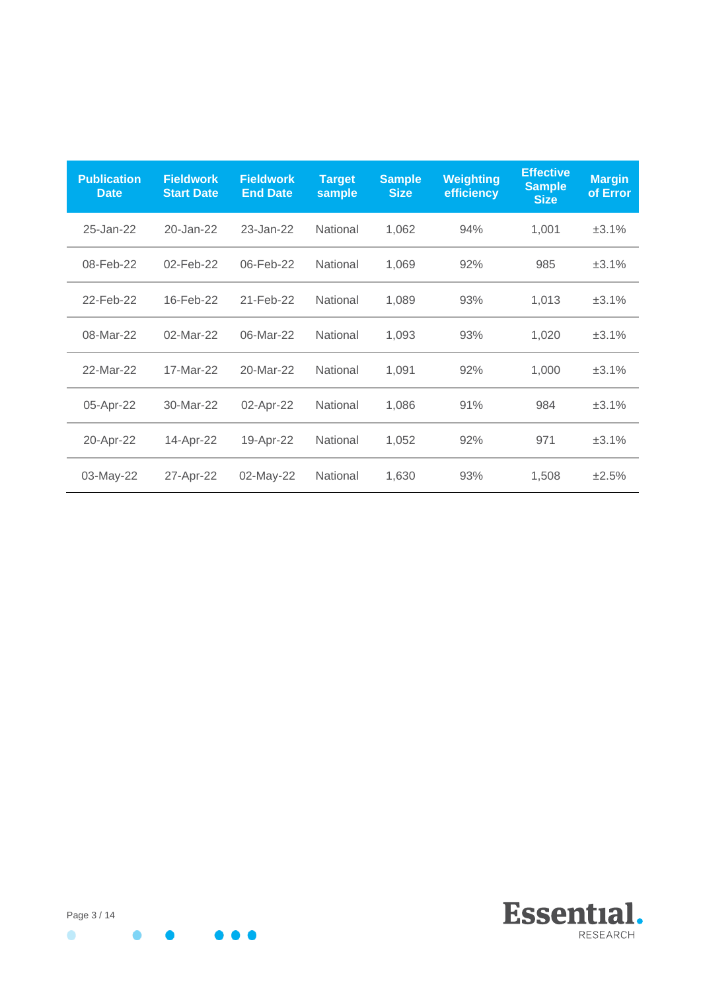| <b>Publication</b><br><b>Date</b> | <b>Fieldwork</b><br><b>Start Date</b> | <b>Fieldwork</b><br><b>End Date</b> | <b>Target</b><br>sample | <b>Sample</b><br><b>Size</b> | <b>Weighting</b><br>efficiency | <b>Effective</b><br><b>Sample</b><br><b>Size</b> | <b>Margin</b><br>of Error |
|-----------------------------------|---------------------------------------|-------------------------------------|-------------------------|------------------------------|--------------------------------|--------------------------------------------------|---------------------------|
| 25-Jan-22                         | 20-Jan-22                             | 23-Jan-22                           | National                | 1,062                        | 94%                            | 1,001                                            | ±3.1%                     |
| 08-Feb-22                         | 02-Feb-22                             | 06-Feb-22                           | National                | 1,069                        | 92%                            | 985                                              | ±3.1%                     |
| 22-Feb-22                         | 16-Feb-22                             | 21-Feb-22                           | <b>National</b>         | 1,089                        | 93%                            | 1,013                                            | ±3.1%                     |
| 08-Mar-22                         | 02-Mar-22                             | 06-Mar-22                           | National                | 1,093                        | 93%                            | 1,020                                            | ±3.1%                     |
| 22-Mar-22                         | 17-Mar-22                             | 20-Mar-22                           | National                | 1,091                        | 92%                            | 1,000                                            | ±3.1%                     |
| 05-Apr-22                         | 30-Mar-22                             | 02-Apr-22                           | National                | 1,086                        | 91%                            | 984                                              | ±3.1%                     |
| 20-Apr-22                         | 14-Apr-22                             | 19-Apr-22                           | National                | 1,052                        | 92%                            | 971                                              | ±3.1%                     |
| 03-May-22                         | 27-Apr-22                             | 02-May-22                           | National                | 1,630                        | 93%                            | 1,508                                            | ±2.5%                     |

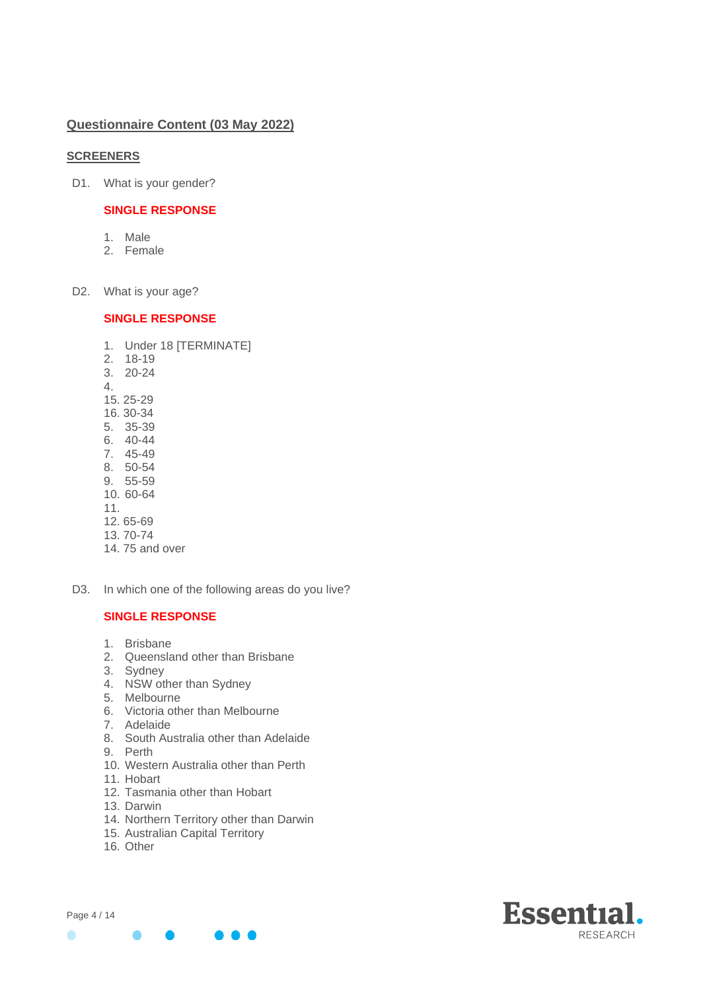# **Questionnaire Content (03 May 2022)**

# **SCREENERS**

D1. What is your gender?

# **SINGLE RESPONSE**

- 1. Male
- 2. Female
- D2. What is your age?

# **SINGLE RESPONSE**

- 1. Under 18 [TERMINATE]
- 2. 18-19
- 3. 20-24
- 4.
- 15. 25-29
- 16. 30-34
- 5. 35-39
- 6. 40-44
- 7. 45-49 8. 50-54
- 9. 55-59
- 10. 60-64
- 11.
- 
- 12. 65-69
- 13. 70-74
- 14. 75 and over
- D3. In which one of the following areas do you live?

- 1. Brisbane
- 2. Queensland other than Brisbane
- 3. Sydney
- 4. NSW other than Sydney
- 5. Melbourne
- 6. Victoria other than Melbourne
- 7. Adelaide
- 8. South Australia other than Adelaide
- 9. Perth
- 10. Western Australia other than Perth
- 11. Hobart
- 12. Tasmania other than Hobart
- 13. Darwin
- 14. Northern Territory other than Darwin
- 15. Australian Capital Territory
- 16. Other

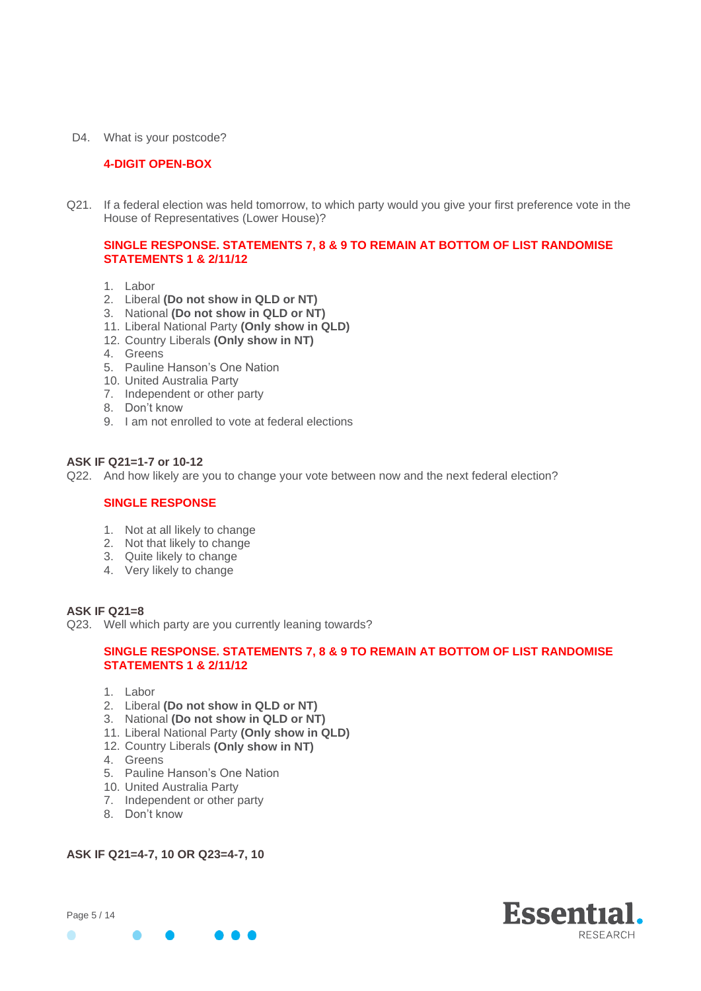D4. What is your postcode?

# **4-DIGIT OPEN-BOX**

Q21. If a federal election was held tomorrow, to which party would you give your first preference vote in the House of Representatives (Lower House)?

# **SINGLE RESPONSE. STATEMENTS 7, 8 & 9 TO REMAIN AT BOTTOM OF LIST RANDOMISE STATEMENTS 1 & 2/11/12**

- 1. Labor
- 2. Liberal **(Do not show in QLD or NT)**
- 3. National **(Do not show in QLD or NT)**
- 11. Liberal National Party **(Only show in QLD)**
- 12. Country Liberals **(Only show in NT)**
- 4. Greens
- 5. Pauline Hanson's One Nation
- 10. United Australia Party
- 7. Independent or other party
- 8. Don't know
- 9. I am not enrolled to vote at federal elections

# **ASK IF Q21=1-7 or 10-12**

Q22. And how likely are you to change your vote between now and the next federal election?

### **SINGLE RESPONSE**

- 1. Not at all likely to change
- 2. Not that likely to change
- 3. Quite likely to change
- 4. Very likely to change

### **ASK IF Q21=8**

Q23. Well which party are you currently leaning towards?

# **SINGLE RESPONSE. STATEMENTS 7, 8 & 9 TO REMAIN AT BOTTOM OF LIST RANDOMISE STATEMENTS 1 & 2/11/12**

- 1. Labor
- 2. Liberal **(Do not show in QLD or NT)**
- 3. National **(Do not show in QLD or NT)**
- 11. Liberal National Party **(Only show in QLD)**
- 12. Country Liberals **(Only show in NT)**
- 4. Greens
- 5. Pauline Hanson's One Nation
- 10. United Australia Party
- 7. Independent or other party
- 8. Don't know

### **ASK IF Q21=4-7, 10 OR Q23=4-7, 10**



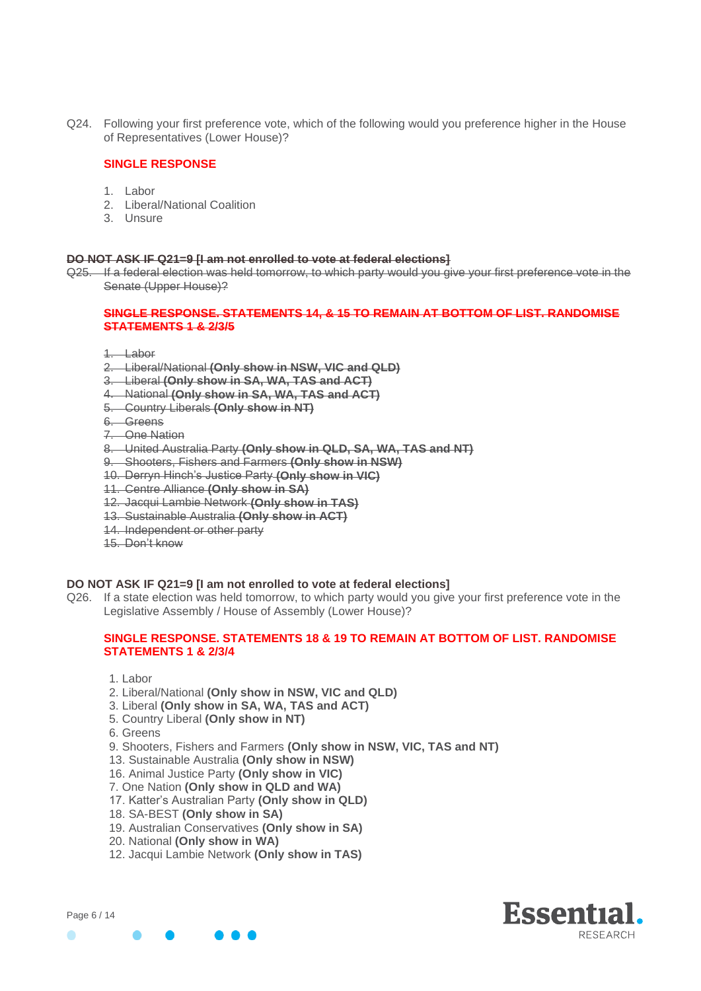Q24. Following your first preference vote, which of the following would you preference higher in the House of Representatives (Lower House)?

# **SINGLE RESPONSE**

- 1. Labor
- 2. Liberal/National Coalition
- 3. Unsure

#### **DO NOT ASK IF Q21=9 [I am not enrolled to vote at federal elections]**

Q25. If a federal election was held tomorrow, to which party would you give your first preference vote in the Senate (Upper House)?

#### **SINGLE RESPONSE. STATEMENTS 14, & 15 TO REMAIN AT BOTTOM OF LIST. RANDOMISE STATEMENTS 1 & 2/3/5**

- 1. Labor
- 2. Liberal/National **(Only show in NSW, VIC and QLD)**
- 3. Liberal **(Only show in SA, WA, TAS and ACT)**
- 4. National **(Only show in SA, WA, TAS and ACT)**
- 5. Country Liberals **(Only show in NT)**
- 6. Greens
- 7. One Nation
- 8. United Australia Party **(Only show in QLD, SA, WA, TAS and NT)**
- 9. Shooters, Fishers and Farmers **(Only show in NSW)**
- 10. Derryn Hinch's Justice Party **(Only show in VIC)**
- 11. Centre Alliance **(Only show in SA)**
- 12. Jacqui Lambie Network **(Only show in TAS)**
- 13. Sustainable Australia **(Only show in ACT)**
- 14. Independent or other party
- 15. Don't know

### **DO NOT ASK IF Q21=9 [I am not enrolled to vote at federal elections]**

Q26. If a state election was held tomorrow, to which party would you give your first preference vote in the Legislative Assembly / House of Assembly (Lower House)?

### **SINGLE RESPONSE. STATEMENTS 18 & 19 TO REMAIN AT BOTTOM OF LIST. RANDOMISE STATEMENTS 1 & 2/3/4**

- 1. Labor
- 2. Liberal/National **(Only show in NSW, VIC and QLD)**
- 3. Liberal **(Only show in SA, WA, TAS and ACT)**
- 5. Country Liberal **(Only show in NT)**
- 6. Greens
- 9. Shooters, Fishers and Farmers **(Only show in NSW, VIC, TAS and NT)**
- 13. Sustainable Australia **(Only show in NSW)**
- 16. Animal Justice Party **(Only show in VIC)**
- 7. One Nation **(Only show in QLD and WA)**
- 17. Katter's Australian Party **(Only show in QLD)**
- 18. SA-BEST **(Only show in SA)**
- 19. Australian Conservatives **(Only show in SA)**
- 20. National **(Only show in WA)**
- 12. Jacqui Lambie Network **(Only show in TAS)**

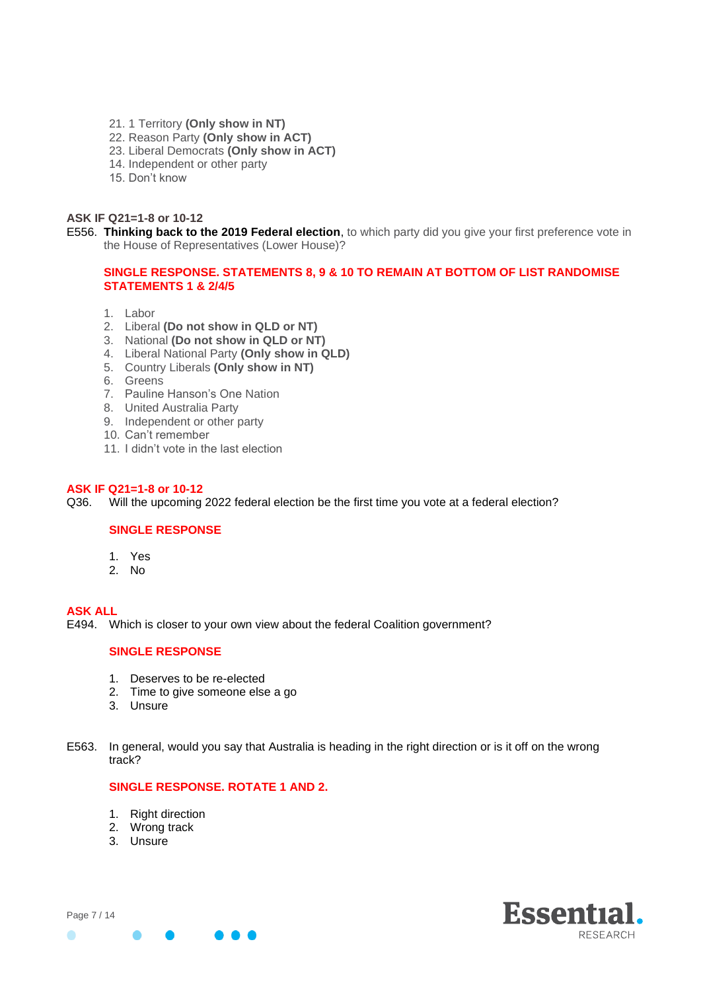- 21. 1 Territory **(Only show in NT)**
- 22. Reason Party **(Only show in ACT)**
- 23. Liberal Democrats **(Only show in ACT)**
- 14. Independent or other party
- 15. Don't know

### **ASK IF Q21=1-8 or 10-12**

E556. **Thinking back to the 2019 Federal election**, to which party did you give your first preference vote in the House of Representatives (Lower House)?

# **SINGLE RESPONSE. STATEMENTS 8, 9 & 10 TO REMAIN AT BOTTOM OF LIST RANDOMISE STATEMENTS 1 & 2/4/5**

- 1. Labor
- 2. Liberal **(Do not show in QLD or NT)**
- 3. National **(Do not show in QLD or NT)**
- 4. Liberal National Party **(Only show in QLD)**
- 5. Country Liberals **(Only show in NT)**
- 6. Greens
- 7. Pauline Hanson's One Nation
- 8. United Australia Party
- 9. Independent or other party
- 10. Can't remember
- 11. I didn't vote in the last election

#### **ASK IF Q21=1-8 or 10-12**

Q36. Will the upcoming 2022 federal election be the first time you vote at a federal election?

# **SINGLE RESPONSE**

- 1. Yes
- 2. No

### **ASK ALL**

Page 7 / 14

 $\bullet$ 

E494. Which is closer to your own view about the federal Coalition government?

## **SINGLE RESPONSE**

- 1. Deserves to be re-elected
- 2. Time to give someone else a go
- 3. Unsure
- E563. In general, would you say that Australia is heading in the right direction or is it off on the wrong track?

# **SINGLE RESPONSE. ROTATE 1 AND 2.**

- 1. Right direction
- 2. Wrong track
- 3. Unsure

 $\bullet$ 



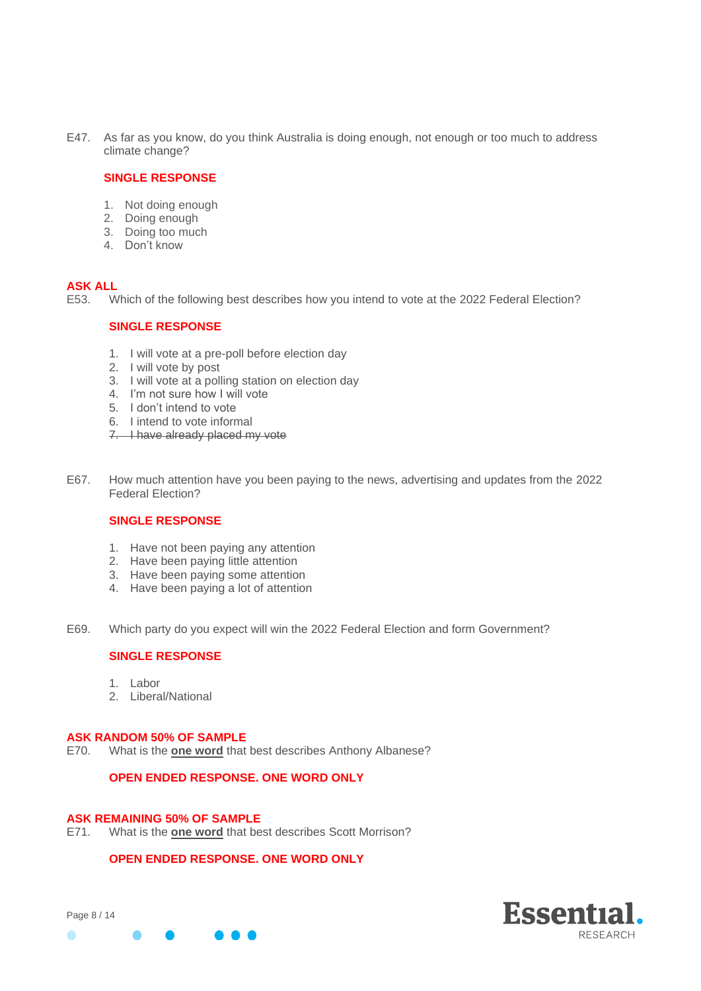E47. As far as you know, do you think Australia is doing enough, not enough or too much to address climate change?

### **SINGLE RESPONSE**

- 1. Not doing enough
- 2. Doing enough
- 3. Doing too much
- 4. Don't know

# **ASK ALL**

E53. Which of the following best describes how you intend to vote at the 2022 Federal Election?

# **SINGLE RESPONSE**

- 1. I will vote at a pre-poll before election day
- 2. I will vote by post
- 3. I will vote at a polling station on election day
- 4. I'm not sure how I will vote
- 5. I don't intend to vote
- 6. I intend to vote informal
- 7. I have already placed my vote
- E67. How much attention have you been paying to the news, advertising and updates from the 2022 Federal Election?

### **SINGLE RESPONSE**

- 1. Have not been paying any attention
- 2. Have been paying little attention
- 3. Have been paying some attention
- 4. Have been paying a lot of attention
- E69. Which party do you expect will win the 2022 Federal Election and form Government?

### **SINGLE RESPONSE**

- 1. Labor
- 2. Liberal/National

### **ASK RANDOM 50% OF SAMPLE**

E70. What is the **one word** that best describes Anthony Albanese?

# **OPEN ENDED RESPONSE. ONE WORD ONLY**

### **ASK REMAINING 50% OF SAMPLE**

E71. What is the **one word** that best describes Scott Morrison?

# **OPEN ENDED RESPONSE. ONE WORD ONLY**

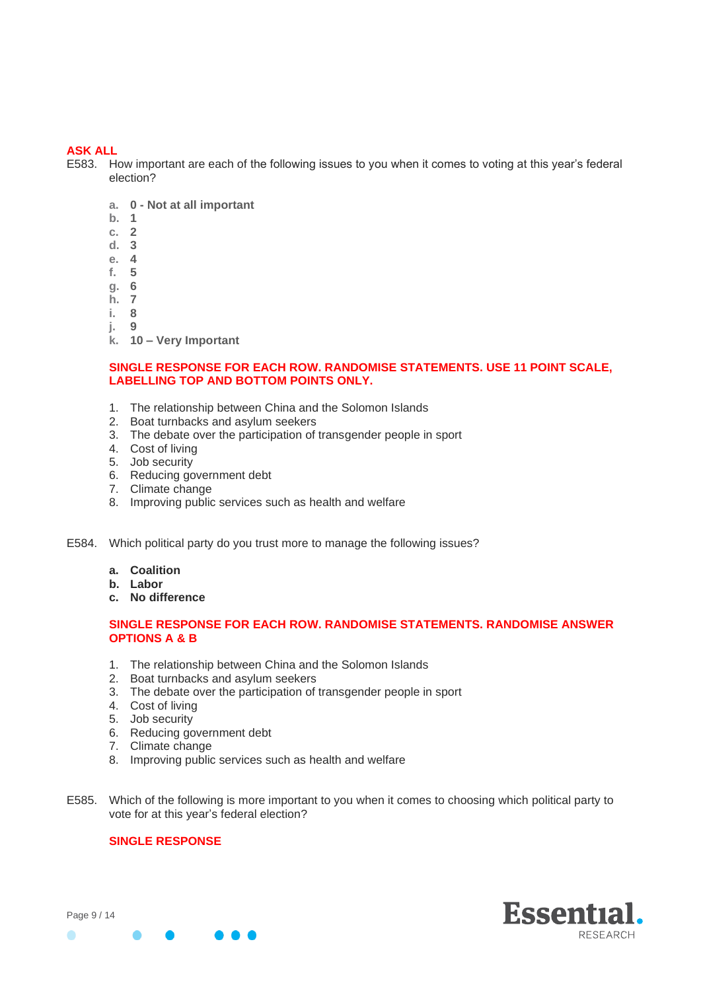# **ASK ALL**

E583. How important are each of the following issues to you when it comes to voting at this year's federal election?

- **a. 0 - Not at all important**
- **b. 1**
- **c. 2**
- **d. 3**
- **e. 4**
- **f. 5**
- **g. 6**
- **h. 7**
- **i. 8**
- **j. 9**
- **k. 10 – Very Important**

# **SINGLE RESPONSE FOR EACH ROW. RANDOMISE STATEMENTS. USE 11 POINT SCALE, LABELLING TOP AND BOTTOM POINTS ONLY.**

- 1. The relationship between China and the Solomon Islands
- 2. Boat turnbacks and asylum seekers
- 3. The debate over the participation of transgender people in sport
- 4. Cost of living
- 5. Job security
- 6. Reducing government debt
- 7. Climate change
- 8. Improving public services such as health and welfare

E584. Which political party do you trust more to manage the following issues?

- **a. Coalition**
- **b. Labor**
- **c. No difference**

# **SINGLE RESPONSE FOR EACH ROW. RANDOMISE STATEMENTS. RANDOMISE ANSWER OPTIONS A & B**

- 1. The relationship between China and the Solomon Islands
- 2. Boat turnbacks and asylum seekers
- 3. The debate over the participation of transgender people in sport
- 4. Cost of living
- 5. Job security
- 6. Reducing government debt
- 7. Climate change
- 8. Improving public services such as health and welfare
- E585. Which of the following is more important to you when it comes to choosing which political party to vote for at this year's federal election?

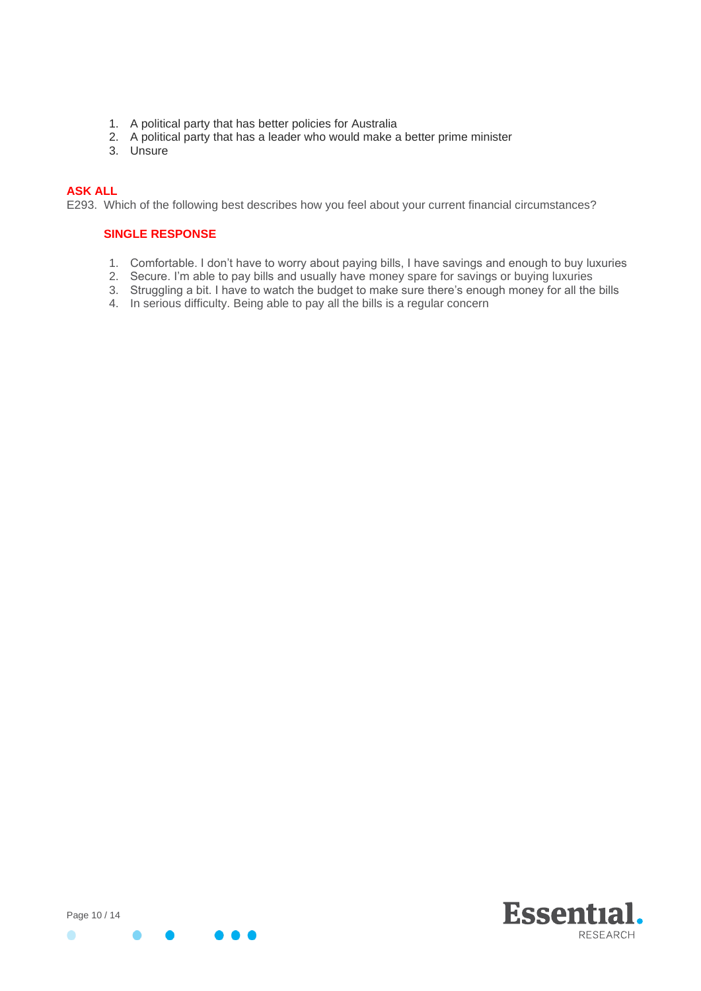- 1. A political party that has better policies for Australia
- 2. A political party that has a leader who would make a better prime minister
- 3. Unsure

# **ASK ALL**

E293. Which of the following best describes how you feel about your current financial circumstances?

- 1. Comfortable. I don't have to worry about paying bills, I have savings and enough to buy luxuries
- 2. Secure. I'm able to pay bills and usually have money spare for savings or buying luxuries
- 3. Struggling a bit. I have to watch the budget to make sure there's enough money for all the bills
- 4. In serious difficulty. Being able to pay all the bills is a regular concern

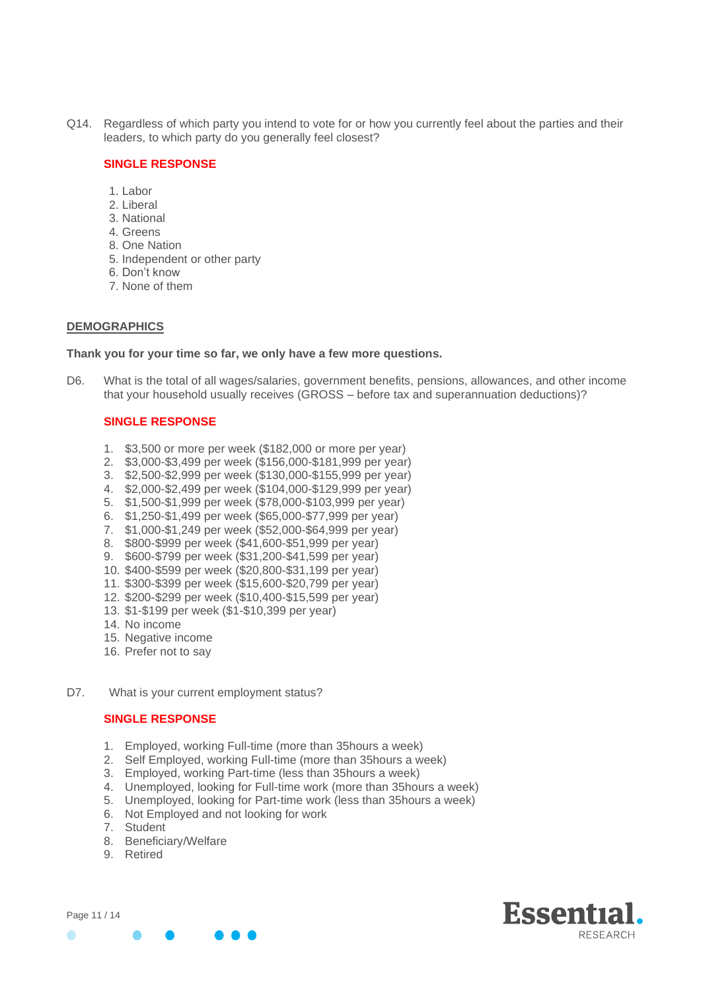Q14. Regardless of which party you intend to vote for or how you currently feel about the parties and their leaders, to which party do you generally feel closest?

## **SINGLE RESPONSE**

- 1. Labor
- 2. Liberal
- 3. National
- 4. Greens
- 8. One Nation
- 5. Independent or other party
- 6. Don't know
- 7. None of them

#### **DEMOGRAPHICS**

### **Thank you for your time so far, we only have a few more questions.**

D6. What is the total of all wages/salaries, government benefits, pensions, allowances, and other income that your household usually receives (GROSS – before tax and superannuation deductions)?

# **SINGLE RESPONSE**

- 1. \$3,500 or more per week (\$182,000 or more per year)
- 2. \$3,000-\$3,499 per week (\$156,000-\$181,999 per year)
- 3. \$2,500-\$2,999 per week (\$130,000-\$155,999 per year)
- 4. \$2,000-\$2,499 per week (\$104,000-\$129,999 per year)
- 5. \$1,500-\$1,999 per week (\$78,000-\$103,999 per year)
- 6. \$1,250-\$1,499 per week (\$65,000-\$77,999 per year)
- 7. \$1,000-\$1,249 per week (\$52,000-\$64,999 per year)
- 8. \$800-\$999 per week (\$41,600-\$51,999 per year)
- 9. \$600-\$799 per week (\$31,200-\$41,599 per year)
- 10. \$400-\$599 per week (\$20,800-\$31,199 per year)
- 11. \$300-\$399 per week (\$15,600-\$20,799 per year)
- 12. \$200-\$299 per week (\$10,400-\$15,599 per year)
- 13. \$1-\$199 per week (\$1-\$10,399 per year)
- 14. No income
- 15. Negative income
- 16. Prefer not to say
- D7. What is your current employment status?

- 1. Employed, working Full-time (more than 35hours a week)
- 2. Self Employed, working Full-time (more than 35hours a week)
- 3. Employed, working Part-time (less than 35hours a week)
- 4. Unemployed, looking for Full-time work (more than 35hours a week)
- 5. Unemployed, looking for Part-time work (less than 35hours a week)
- 6. Not Employed and not looking for work
- 7. Student
- 8. Beneficiary/Welfare
- 9. Retired

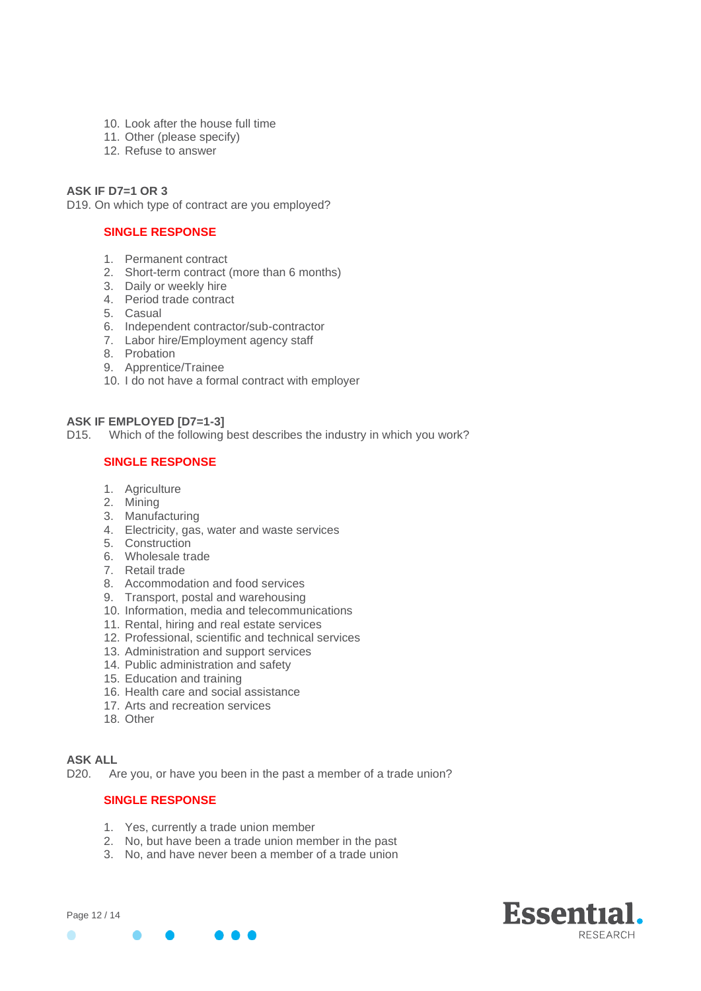- 10. Look after the house full time
- 11. Other (please specify)
- 12. Refuse to answer

# **ASK IF D7=1 OR 3**

D19. On which type of contract are you employed?

# **SINGLE RESPONSE**

- 1. Permanent contract
- 2. Short-term contract (more than 6 months)
- 3. Daily or weekly hire
- 4. Period trade contract
- 5. Casual
- 6. Independent contractor/sub-contractor
- 7. Labor hire/Employment agency staff
- 8. Probation
- 9. Apprentice/Trainee
- 10. I do not have a formal contract with employer

# **ASK IF EMPLOYED [D7=1-3]**

D15. Which of the following best describes the industry in which you work?

# **SINGLE RESPONSE**

- 1. Agriculture
- 2. Mining
- 3. Manufacturing
- 4. Electricity, gas, water and waste services
- 5. Construction
- 6. Wholesale trade
- 7. Retail trade
- 8. Accommodation and food services
- 9. Transport, postal and warehousing
- 10. Information, media and telecommunications
- 11. Rental, hiring and real estate services
- 12. Professional, scientific and technical services
- 13. Administration and support services
- 14. Public administration and safety
- 15. Education and training
- 16. Health care and social assistance
- 17. Arts and recreation services
- 18. Other

### **ASK ALL**

D20. Are you, or have you been in the past a member of a trade union?

- 1. Yes, currently a trade union member
- 2. No, but have been a trade union member in the past
- 3. No, and have never been a member of a trade union

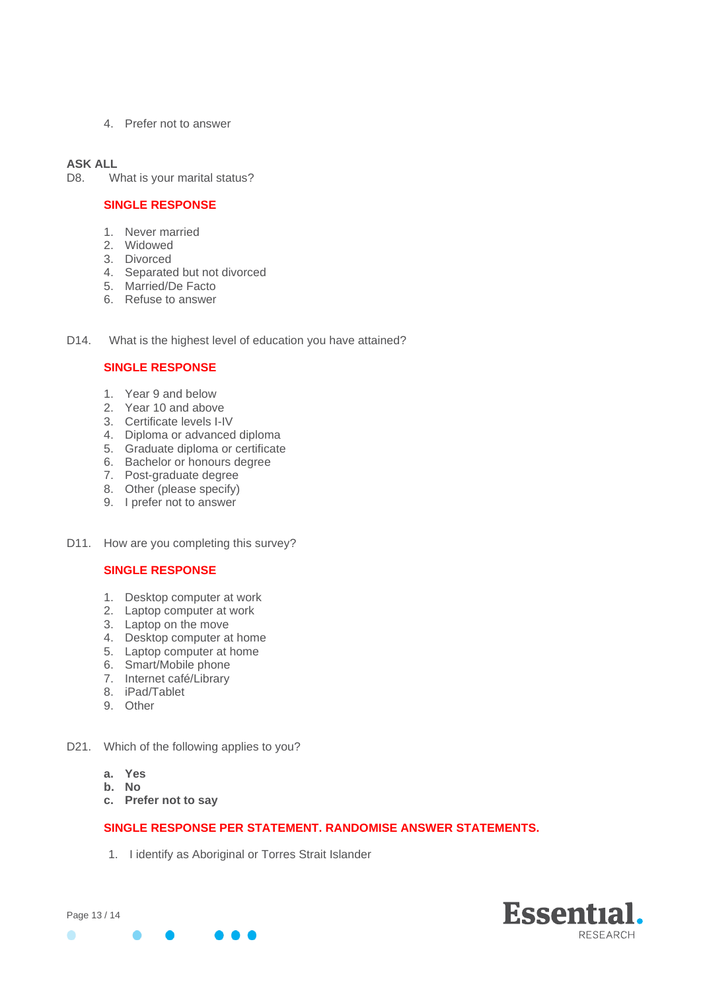4. Prefer not to answer

### **ASK ALL**

D8. What is your marital status?

# **SINGLE RESPONSE**

- 1. Never married
- 2. Widowed
- 3. Divorced
- 4. Separated but not divorced
- 5. Married/De Facto
- 6. Refuse to answer
- D14. What is the highest level of education you have attained?

# **SINGLE RESPONSE**

- 1. Year 9 and below
- 2. Year 10 and above
- 3. Certificate levels I-IV
- 4. Diploma or advanced diploma
- 5. Graduate diploma or certificate
- 6. Bachelor or honours degree
- 7. Post-graduate degree
- 8. Other (please specify)
- 9. I prefer not to answer
- D11. How are you completing this survey?

# **SINGLE RESPONSE**

- 1. Desktop computer at work
- 2. Laptop computer at work
- 3. Laptop on the move
- 4. Desktop computer at home
- 5. Laptop computer at home
- 6. Smart/Mobile phone
- 7. Internet café/Library
- 8. iPad/Tablet
- 9. Other
- D21. Which of the following applies to you?
	- **a. Yes**
	- **b. No**
	- **c. Prefer not to say**

# **SINGLE RESPONSE PER STATEMENT. RANDOMISE ANSWER STATEMENTS.**

1. I identify as Aboriginal or Torres Strait Islander